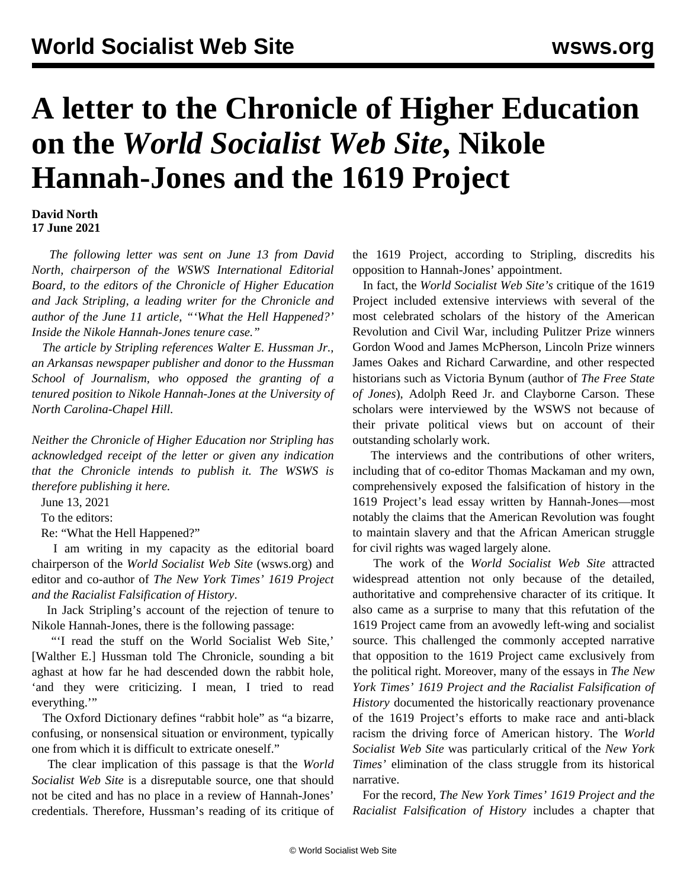## **A letter to the Chronicle of Higher Education on the** *World Socialist Web Site***, Nikole Hannah-Jones and the 1619 Project**

**David North 17 June 2021**

 *The following letter was sent on June 13 from David North, chairperson of the WSWS International Editorial Board, to the editors of the Chronicle of Higher Education and Jack Stripling, a leading writer for the Chronicle and author of the June 11 article, ["'What the Hell Happened?'](https://www.chronicle.com/article/what-the-hell-happened) [Inside the Nikole Hannah-Jones tenure case.](https://www.chronicle.com/article/what-the-hell-happened)"* 

 *The article by Stripling references Walter E. Hussman Jr., an Arkansas newspaper publisher and donor to the Hussman School of Journalism, who opposed the granting of a tenured position to Nikole Hannah-Jones at the University of North Carolina-Chapel Hill.*

*Neither the Chronicle of Higher Education nor Stripling has acknowledged receipt of the letter or given any indication that the Chronicle intends to publish it. The WSWS is therefore publishing it here.*

June 13, 2021

To the editors:

Re: "What the Hell Happened?"

 I am writing in my capacity as the editorial board chairperson of the *World Socialist Web Site* ([wsws.org](http://wsws.org)) and editor and co-author of *The New York Times' 1619 Project and the Racialist Falsification of History*.

 In Jack Stripling's account of the rejection of tenure to Nikole Hannah-Jones, there is the following passage:

 "'I read the stuff on the World Socialist Web Site,' [Walther E.] Hussman told The Chronicle, sounding a bit aghast at how far he had descended down the rabbit hole, 'and they were criticizing. I mean, I tried to read everything."

 The Oxford Dictionary defines "rabbit hole" as "a bizarre, confusing, or nonsensical situation or environment, typically one from which it is difficult to extricate oneself."

 The clear implication of this passage is that the *World Socialist Web Site* is a disreputable source, one that should not be cited and has no place in a review of Hannah-Jones' credentials. Therefore, Hussman's reading of its critique of the 1619 Project, according to Stripling, discredits his opposition to Hannah-Jones' appointment.

 In fact, the *World Socialist Web Site's* critique of the 1619 Project included extensive interviews with several of the most celebrated scholars of the history of the American Revolution and Civil War, including Pulitzer Prize winners Gordon Wood and James McPherson, Lincoln Prize winners James Oakes and Richard Carwardine, and other respected historians such as Victoria Bynum (author of *The Free State of Jones*), Adolph Reed Jr. and Clayborne Carson. These scholars were interviewed by the WSWS not because of their private political views but on account of their outstanding scholarly work.

 The interviews and the contributions of other writers, including that of co-editor Thomas Mackaman and my own, comprehensively exposed the falsification of history in the 1619 Project's lead essay written by Hannah-Jones—most notably the claims that the American Revolution was fought to maintain slavery and that the African American struggle for civil rights was waged largely alone.

 The work of the *World Socialist Web Site* attracted widespread attention not only because of the detailed, authoritative and comprehensive character of its critique. It also came as a surprise to many that this refutation of the 1619 Project came from an avowedly left-wing and socialist source. This challenged the commonly accepted narrative that opposition to the 1619 Project came exclusively from the political right. Moreover, many of the essays in *The New York Times' 1619 Project and the Racialist Falsification of History* documented the historically reactionary provenance of the 1619 Project's efforts to make race and anti-black racism the driving force of American history. The *World Socialist Web Site* was particularly critical of the *New York Times'* elimination of the class struggle from its historical narrative.

 For the record, *The New York Times' 1619 Project and the Racialist Falsification of History* includes a chapter that